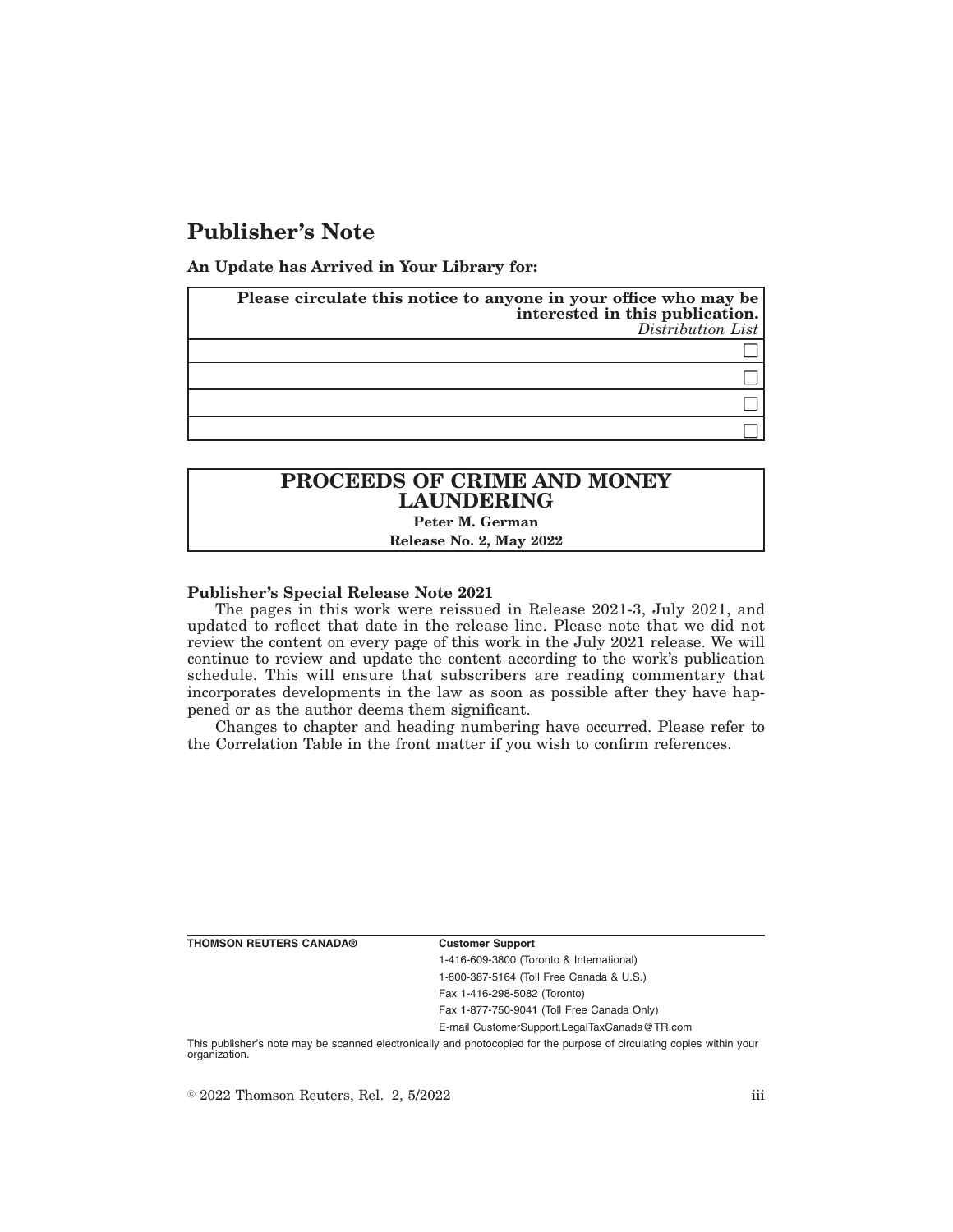# **Publisher's Note**

**An Update has Arrived in Your Library for:**

| Please circulate this notice to anyone in your office who may be<br>interested in this publication.<br>Distribution List |
|--------------------------------------------------------------------------------------------------------------------------|
|                                                                                                                          |
|                                                                                                                          |
|                                                                                                                          |
|                                                                                                                          |

## **PROCEEDS OF CRIME AND MONEY LAUNDERING Peter M. German**

**Release No. 2, May 2022**

### **Publisher's Special Release Note 2021**

The pages in this work were reissued in Release 2021-3, July 2021, and updated to reflect that date in the release line. Please note that we did not review the content on every page of this work in the July 2021 release. We will continue to review and update the content according to the work's publication schedule. This will ensure that subscribers are reading commentary that incorporates developments in the law as soon as possible after they have happened or as the author deems them significant.

Changes to chapter and heading numbering have occurred. Please refer to the Correlation Table in the front matter if you wish to confirm references.

**THOMSON REUTERS CANADA® Customer Support**

1-416-609-3800 (Toronto & International) 1-800-387-5164 (Toll Free Canada & U.S.) Fax 1-416-298-5082 (Toronto)

Fax 1-877-750-9041 (Toll Free Canada Only)

E-mail CustomerSupport.LegalTaxCanada@TR.com

This publisher's note may be scanned electronically and photocopied for the purpose of circulating copies within your organization.

 $\degree$  2022 Thomson Reuters, Rel. 2, 5/2022 iii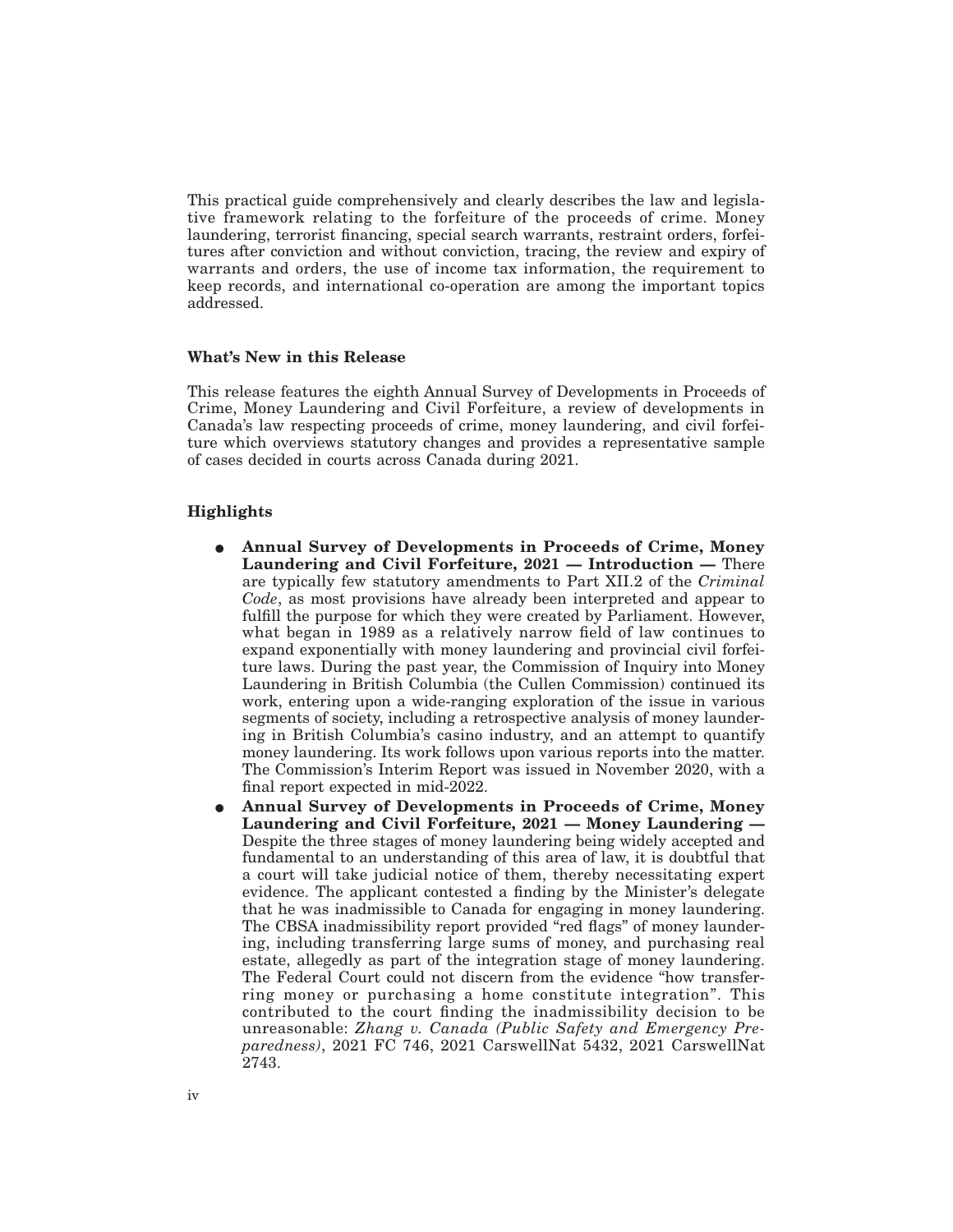This practical guide comprehensively and clearly describes the law and legislative framework relating to the forfeiture of the proceeds of crime. Money laundering, terrorist financing, special search warrants, restraint orders, forfeitures after conviction and without conviction, tracing, the review and expiry of warrants and orders, the use of income tax information, the requirement to keep records, and international co-operation are among the important topics addressed.

### **What's New in this Release**

This release features the eighth Annual Survey of Developments in Proceeds of Crime, Money Laundering and Civil Forfeiture, a review of developments in Canada's law respecting proceeds of crime, money laundering, and civil forfeiture which overviews statutory changes and provides a representative sample of cases decided in courts across Canada during 2021.

### **Highlights**

- E **Annual Survey of Developments in Proceeds of Crime, Money Laundering and Civil Forfeiture, 2021 — Introduction —** There are typically few statutory amendments to Part XII.2 of the *Criminal Code*, as most provisions have already been interpreted and appear to fulfill the purpose for which they were created by Parliament. However, what began in 1989 as a relatively narrow field of law continues to expand exponentially with money laundering and provincial civil forfeiture laws. During the past year, the Commission of Inquiry into Money Laundering in British Columbia (the Cullen Commission) continued its work, entering upon a wide-ranging exploration of the issue in various segments of society, including a retrospective analysis of money laundering in British Columbia's casino industry, and an attempt to quantify money laundering. Its work follows upon various reports into the matter. The Commission's Interim Report was issued in November 2020, with a final report expected in mid-2022.
- E **Annual Survey of Developments in Proceeds of Crime, Money Laundering and Civil Forfeiture, 2021 — Money Laundering —** Despite the three stages of money laundering being widely accepted and fundamental to an understanding of this area of law, it is doubtful that a court will take judicial notice of them, thereby necessitating expert evidence. The applicant contested a finding by the Minister's delegate that he was inadmissible to Canada for engaging in money laundering. The CBSA inadmissibility report provided "red flags" of money laundering, including transferring large sums of money, and purchasing real estate, allegedly as part of the integration stage of money laundering. The Federal Court could not discern from the evidence "how transferring money or purchasing a home constitute integration". This contributed to the court finding the inadmissibility decision to be unreasonable: *Zhang v. Canada (Public Safety and Emergency Preparedness)*, 2021 FC 746, 2021 CarswellNat 5432, 2021 CarswellNat 2743.